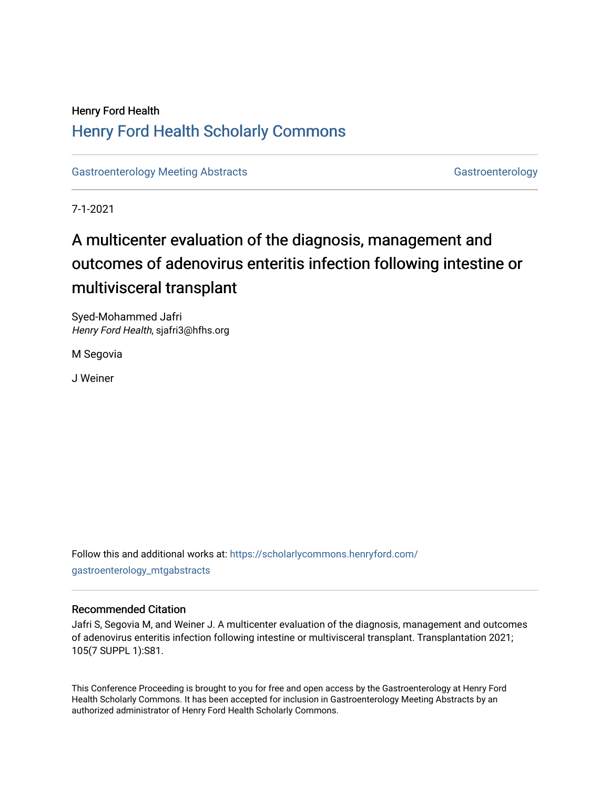## Henry Ford Health [Henry Ford Health Scholarly Commons](https://scholarlycommons.henryford.com/)

[Gastroenterology Meeting Abstracts](https://scholarlycommons.henryford.com/gastroenterology_mtgabstracts) [Gastroenterology](https://scholarlycommons.henryford.com/gastroenterology) Gastroenterology

7-1-2021

# A multicenter evaluation of the diagnosis, management and outcomes of adenovirus enteritis infection following intestine or multivisceral transplant

Syed-Mohammed Jafri Henry Ford Health, sjafri3@hfhs.org

M Segovia

J Weiner

Follow this and additional works at: [https://scholarlycommons.henryford.com/](https://scholarlycommons.henryford.com/gastroenterology_mtgabstracts?utm_source=scholarlycommons.henryford.com%2Fgastroenterology_mtgabstracts%2F123&utm_medium=PDF&utm_campaign=PDFCoverPages) [gastroenterology\\_mtgabstracts](https://scholarlycommons.henryford.com/gastroenterology_mtgabstracts?utm_source=scholarlycommons.henryford.com%2Fgastroenterology_mtgabstracts%2F123&utm_medium=PDF&utm_campaign=PDFCoverPages)

### Recommended Citation

Jafri S, Segovia M, and Weiner J. A multicenter evaluation of the diagnosis, management and outcomes of adenovirus enteritis infection following intestine or multivisceral transplant. Transplantation 2021; 105(7 SUPPL 1):S81.

This Conference Proceeding is brought to you for free and open access by the Gastroenterology at Henry Ford Health Scholarly Commons. It has been accepted for inclusion in Gastroenterology Meeting Abstracts by an authorized administrator of Henry Ford Health Scholarly Commons.